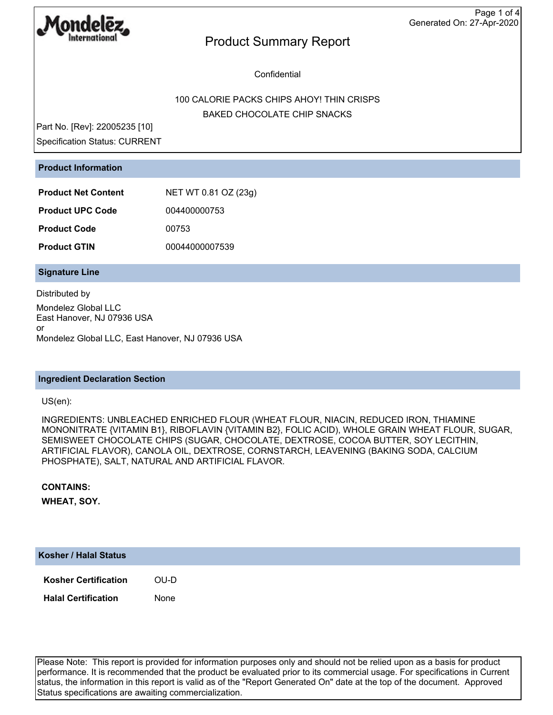

Confidential

### 100 CALORIE PACKS CHIPS AHOY! THIN CRISPS BAKED CHOCOLATE CHIP SNACKS

Part No. [Rev]: 22005235 [10] Specification Status: CURRENT

### **Product Information**

| <b>Product Net Content</b> | NET WT 0.81 OZ (23g) |  |  |
|----------------------------|----------------------|--|--|
| <b>Product UPC Code</b>    | 004400000753         |  |  |
| <b>Product Code</b>        | 00753                |  |  |
| <b>Product GTIN</b>        | 00044000007539       |  |  |

### **Signature Line**

Distributed by Mondelez Global LLC East Hanover, NJ 07936 USA or Mondelez Global LLC, East Hanover, NJ 07936 USA

#### **Ingredient Declaration Section**

US(en):

INGREDIENTS: UNBLEACHED ENRICHED FLOUR (WHEAT FLOUR, NIACIN, REDUCED IRON, THIAMINE MONONITRATE {VITAMIN B1}, RIBOFLAVIN {VITAMIN B2}, FOLIC ACID), WHOLE GRAIN WHEAT FLOUR, SUGAR, SEMISWEET CHOCOLATE CHIPS (SUGAR, CHOCOLATE, DEXTROSE, COCOA BUTTER, SOY LECITHIN, ARTIFICIAL FLAVOR), CANOLA OIL, DEXTROSE, CORNSTARCH, LEAVENING (BAKING SODA, CALCIUM PHOSPHATE), SALT, NATURAL AND ARTIFICIAL FLAVOR.

#### **CONTAINS:**

**WHEAT, SOY.**

#### **Kosher / Halal Status**

**Kosher Certification** OU-D

**Halal Certification** None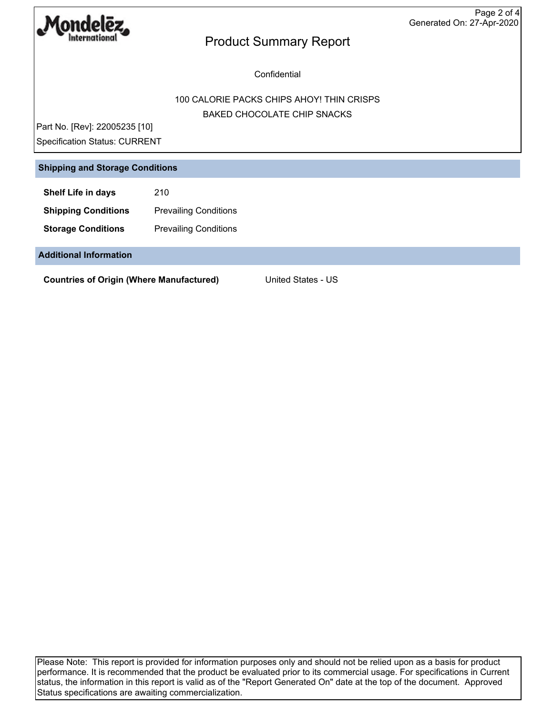

**Confidential** 

### 100 CALORIE PACKS CHIPS AHOY! THIN CRISPS BAKED CHOCOLATE CHIP SNACKS

Part No. [Rev]: 22005235 [10] Specification Status: CURRENT

### **Shipping and Storage Conditions**

**Shelf Life in days** 210

**Shipping Conditions** Prevailing Conditions

**Storage Conditions** Prevailing Conditions

**Additional Information**

**Countries of Origin (Where Manufactured)** United States - US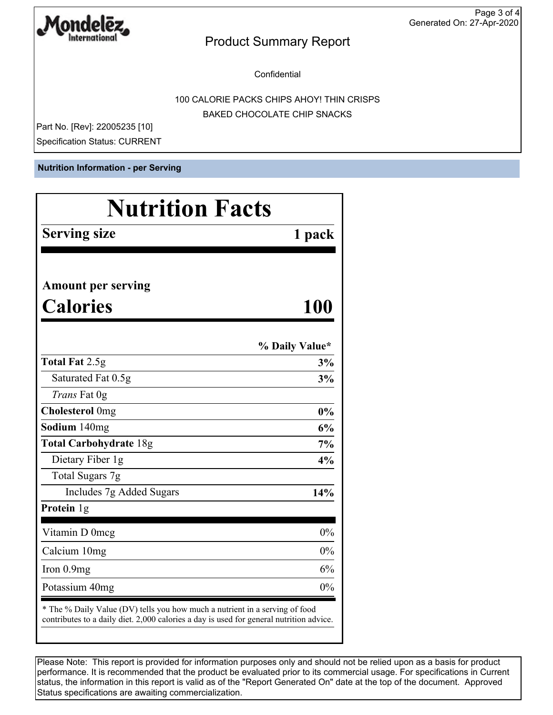

**Confidential** 

100 CALORIE PACKS CHIPS AHOY! THIN CRISPS BAKED CHOCOLATE CHIP SNACKS

Part No. [Rev]: 22005235 [10] Specification Status: CURRENT

**Nutrition Information - per Serving**

| <b>Nutrition Facts</b>                                                                                                                                                 |                |  |
|------------------------------------------------------------------------------------------------------------------------------------------------------------------------|----------------|--|
| <b>Serving size</b>                                                                                                                                                    | 1 pack         |  |
|                                                                                                                                                                        |                |  |
| <b>Amount per serving</b>                                                                                                                                              |                |  |
| <b>Calories</b>                                                                                                                                                        | 100            |  |
|                                                                                                                                                                        | % Daily Value* |  |
| <b>Total Fat 2.5g</b>                                                                                                                                                  | 3%             |  |
| Saturated Fat 0.5g                                                                                                                                                     | 3%             |  |
| Trans Fat 0g                                                                                                                                                           |                |  |
| <b>Cholesterol</b> Omg                                                                                                                                                 | 0%             |  |
| Sodium 140mg                                                                                                                                                           | 6%             |  |
| <b>Total Carbohydrate 18g</b>                                                                                                                                          | 7%             |  |
| Dietary Fiber 1g                                                                                                                                                       | 4%             |  |
| Total Sugars 7g                                                                                                                                                        |                |  |
| Includes 7g Added Sugars                                                                                                                                               | 14%            |  |
| Protein 1g                                                                                                                                                             |                |  |
| Vitamin D 0mcg                                                                                                                                                         | 0%             |  |
| Calcium 10mg                                                                                                                                                           | 0%             |  |
| Iron $0.9mg$                                                                                                                                                           | 6%             |  |
| Potassium 40mg                                                                                                                                                         | 0%             |  |
| * The % Daily Value (DV) tells you how much a nutrient in a serving of food<br>contributes to a daily diet. 2,000 calories a day is used for general nutrition advice. |                |  |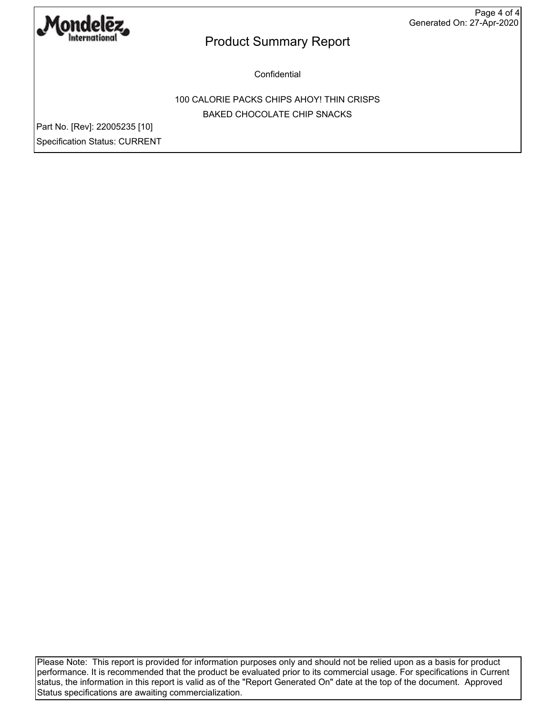

**Confidential** 

100 CALORIE PACKS CHIPS AHOY! THIN CRISPS BAKED CHOCOLATE CHIP SNACKS

Part No. [Rev]: 22005235 [10] Specification Status: CURRENT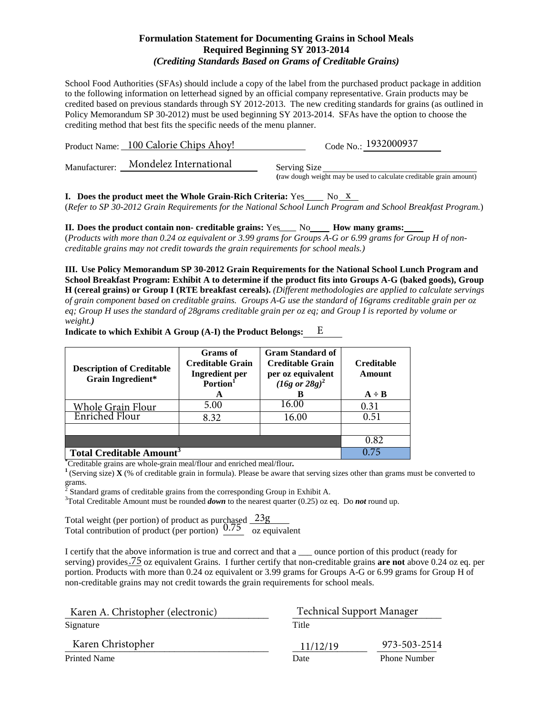### **Formulation Statement for Documenting Grains in School Meals Required Beginning SY 2013-2014**  *(Crediting Standards Based on Grams of Creditable Grains)*

School Food Authorities (SFAs) should include a copy of the label from the purchased product package in addition to the following information on letterhead signed by an official company representative. Grain products may be credited based on previous standards through SY 2012-2013. The new crediting standards for grains (as outlined in Policy Memorandum SP 30-2012) must be used beginning SY 2013-2014. SFAs have the option to choose the crediting method that best fits the specific needs of the menu planner.

|               | Product Name: 100 Calorie Chips Ahov! | Code No.: 1932000937                                                                |
|---------------|---------------------------------------|-------------------------------------------------------------------------------------|
| Manufacturer: | Mondelez International                | Serving Size<br>(raw dough weight may be used to calculate creditable grain amount) |
|               |                                       |                                                                                     |

**I.** Does the product meet the Whole Grain-Rich Criteria:  $Yes$  No  $\overline{X}$ (*Refer to SP 30-2012 Grain Requirements for the National School Lunch Program and School Breakfast Program.*)

**II.** Does the product contain non- creditable grains: Yes No How many grams: (*Products with more than 0.24 oz equivalent or 3.99 grams for Groups A-G or 6.99 grams for Group H of noncreditable grains may not credit towards the grain requirements for school meals.)*

**III. Use Policy Memorandum SP 30-2012 Grain Requirements for the National School Lunch Program and School Breakfast Program: Exhibit A to determine if the product fits into Groups A-G (baked goods), Group H (cereal grains) or Group I (RTE breakfast cereals).** *(Different methodologies are applied to calculate servings of grain component based on creditable grains. Groups A-G use the standard of 16grams creditable grain per oz eq; Group H uses the standard of 28grams creditable grain per oz eq; and Group I is reported by volume or weight.)*

| <b>Description of Creditable</b><br><b>Grain Ingredient*</b> | Grams of<br><b>Creditable Grain</b><br><b>Ingredient</b> per<br>Portion <sup>1</sup><br>A | <b>Gram Standard of</b><br><b>Creditable Grain</b><br>per oz equivalent<br>$(16g \text{ or } 28g)^2$ | <b>Creditable</b><br>Amount<br>$A \div B$ |
|--------------------------------------------------------------|-------------------------------------------------------------------------------------------|------------------------------------------------------------------------------------------------------|-------------------------------------------|
| Whole Grain Flour                                            | 5.00                                                                                      | 16.00                                                                                                | 0.31                                      |
| <b>Enriched Flour</b>                                        | 8.32                                                                                      | 16.00                                                                                                | 0.51                                      |
|                                                              |                                                                                           |                                                                                                      |                                           |
|                                                              |                                                                                           |                                                                                                      | 0.82                                      |
| <b>Total Creditable Amount<sup>3</sup></b>                   |                                                                                           |                                                                                                      |                                           |

**Indicate to which Exhibit A Group (A-I) the Product Belongs:**  E

\*Creditable grains are whole-grain meal/flour and enriched meal/flour.

<sup>1</sup> (Serving size) **X** (% of creditable grain in formula). Please be aware that serving sizes other than grams must be converted to grams.

<sup>2</sup> Standard grams of creditable grains from the corresponding Group in Exhibit A. <sup>3</sup>

<sup>3</sup>Total Creditable Amount must be rounded *down* to the nearest quarter (0.25) oz eq. Do *not* round up.

Total weight (per portion) of product as purchased Total contribution of product (per portion)  $\frac{0.75}{0.75}$  oz equivalent 23g 0.75

I certify that the above information is true and correct and that a \_\_\_ ounce portion of this product (ready for serving) provides <sup>75</sup> oz equivalent Grains. I further certify that non-creditable grains are not above 0.24 oz eq. per portion. Products with more than 0.24 oz equivalent or 3.99 grams for Groups A-G or 6.99 grams for Group H of non-creditable grains may not credit towards the grain requirements for school meals.

| Karen A. Christopher (electronic) |          | <b>Technical Support Manager</b> |  |
|-----------------------------------|----------|----------------------------------|--|
| Signature                         | Title    |                                  |  |
| Karen Christopher                 | 11/12/19 | 973-503-2514                     |  |
| <b>Printed Name</b>               | Date     | <b>Phone Number</b>              |  |